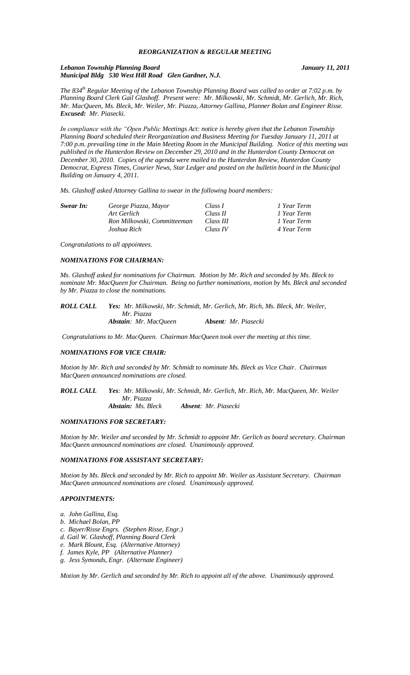# *REORGANIZATION & REGULAR MEETING*

#### *Lebanon Township Planning Board January 11, 2011 Municipal Bldg 530 West Hill Road Glen Gardner, N.J.*

*The 834th Regular Meeting of the Lebanon Township Planning Board was called to order at 7:02 p.m. by Planning Board Clerk Gail Glashoff. Present were: Mr. Milkowski, Mr. Schmidt, Mr. Gerlich, Mr. Rich, Mr. MacQueen, Ms. Bleck, Mr. Weiler, Mr. Piazza, Attorney Gallina, Planner Bolan and Engineer Risse. Excused: Mr. Piasecki.*

*In compliance with the "Open Public Meetings Act: notice is hereby given that the Lebanon Township Planning Board scheduled their Reorganization and Business Meeting for Tuesday January 11, 2011 at 7:00 p.m. prevailing time in the Main Meeting Room in the Municipal Building. Notice of this meeting was published in the Hunterdon Review on December 29, 2010 and in the Hunterdon County Democrat on December 30, 2010. Copies of the agenda were mailed to the Hunterdon Review, Hunterdon County Democrat, Express Times, Courier News, Star Ledger and posted on the bulletin board in the Municipal Building on January 4, 2011.*

*Ms. Glashoff asked Attorney Gallina to swear in the following board members:*

| Swear In: | George Piazza, Mayor        | Class I   | 1 Year Term |
|-----------|-----------------------------|-----------|-------------|
|           | Art Gerlich                 | Class II  | 1 Year Term |
|           | Ron Milkowski, Committeeman | Class III | 1 Year Term |
|           | Joshua Rich                 | Class IV  | 4 Year Term |

*Congratulations to all appointees.*

#### *NOMINATIONS FOR CHAIRMAN:*

*Ms. Glashoff asked for nominations for Chairman. Motion by Mr. Rich and seconded by Ms. Bleck to nominate Mr. MacQueen for Chairman. Being no further nominations, motion by Ms. Bleck and seconded by Mr. Piazza to close the nominations.*

| ROLL CALL | Yes: Mr. Milkowski, Mr. Schmidt, Mr. Gerlich, Mr. Rich, Ms. Bleck, Mr. Weiler, |                             |  |  |
|-----------|--------------------------------------------------------------------------------|-----------------------------|--|--|
|           | Mr. Piazza                                                                     |                             |  |  |
|           | <b>Abstain:</b> Mr. MacOueen                                                   | <b>Absent:</b> Mr. Piasecki |  |  |

*Congratulations to Mr. MacQueen. Chairman MacQueen took over the meeting at this time.*

# *NOMINATIONS FOR VICE CHAIR:*

*Motion by Mr. Rich and seconded by Mr. Schmidt to nominate Ms. Bleck as Vice Chair. Chairman MacQueen announced nominations are closed.*

*ROLL CALL Yes: Mr. Milkowski, Mr. Schmidt, Mr. Gerlich, Mr. Rich, Mr. MacQueen, Mr. Weiler Mr. Piazza Abstain: Ms. Bleck Absent: Mr. Piasecki*

# *NOMINATIONS FOR SECRETARY:*

*Motion by Mr. Weiler and seconded by Mr. Schmidt to appoint Mr. Gerlich as board secretary. Chairman MacQueen announced nominations are closed. Unanimously approved.*

#### *NOMINATIONS FOR ASSISTANT SECRETARY:*

*Motion by Ms. Bleck and seconded by Mr. Rich to appoint Mr. Weiler as Assistant Secretary. Chairman MacQueen announced nominations are closed. Unanimously approved.*

#### *APPOINTMENTS:*

- *a. John Gallina, Esq.*
- *b. Michael Bolan, PP*
- *c. Bayer/Risse Engrs. (Stephen Risse, Engr.)*
- *d. Gail W. Glashoff, Planning Board Clerk*
- *e. Mark Blount, Esq. (Alternative Attorney)*
- *f. James Kyle, PP (Alternative Planner)*
- *g. Jess Symonds, Engr. (Alternate Engineer)*

*Motion by Mr. Gerlich and seconded by Mr. Rich to appoint all of the above. Unanimously approved.*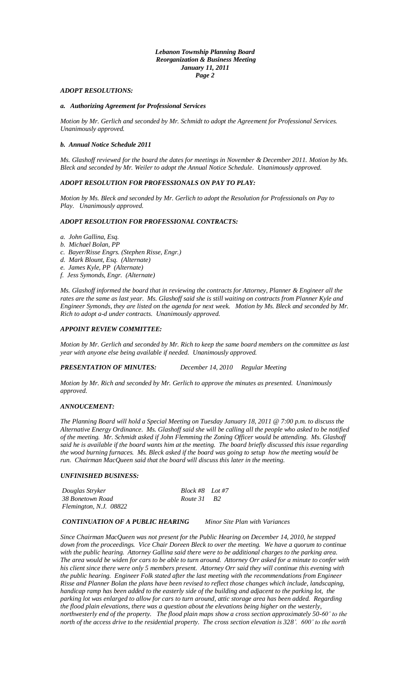## *Lebanon Township Planning Board Reorganization & Business Meeting January 11, 2011 Page 2*

# *ADOPT RESOLUTIONS:*

# *a. Authorizing Agreement for Professional Services*

*Motion by Mr. Gerlich and seconded by Mr. Schmidt to adopt the Agreement for Professional Services. Unanimously approved.*

#### *b. Annual Notice Schedule 2011*

*Ms. Glashoff reviewed for the board the dates for meetings in November & December 2011. Motion by Ms. Bleck and seconded by Mr. Weiler to adopt the Annual Notice Schedule. Unanimously approved.*

# *ADOPT RESOLUTION FOR PROFESSIONALS ON PAY TO PLAY:*

*Motion by Ms. Bleck and seconded by Mr. Gerlich to adopt the Resolution for Professionals on Pay to Play. Unanimously approved.*

# *ADOPT RESOLUTION FOR PROFESSIONAL CONTRACTS:*

- *a. John Gallina, Esq.*
- *b. Michael Bolan, PP*
- *c. Bayer/Risse Engrs. (Stephen Risse, Engr.)*
- *d. Mark Blount, Esq. (Alternate)*
- *e. James Kyle, PP (Alternate)*
- *f. Jess Symonds, Engr. (Alternate)*

*Ms. Glashoff informed the board that in reviewing the contracts for Attorney, Planner & Engineer all the rates are the same as last year. Ms. Glashoff said she is still waiting on contracts from Planner Kyle and Engineer Symonds, they are listed on the agenda for next week. Motion by Ms. Bleck and seconded by Mr. Rich to adopt a-d under contracts. Unanimously approved.*

# *APPOINT REVIEW COMMITTEE:*

*Motion by Mr. Gerlich and seconded by Mr. Rich to keep the same board members on the committee as last year with anyone else being available if needed. Unanimously approved.*

*PRESENTATION OF MINUTES: December 14, 2010 Regular Meeting*

*Motion by Mr. Rich and seconded by Mr. Gerlich to approve the minutes as presented. Unanimously approved.*

#### *ANNOUCEMENT:*

*The Planning Board will hold a Special Meeting on Tuesday January 18, 2011 @ 7:00 p.m. to discuss the Alternative Energy Ordinance. Ms. Glashoff said she will be calling all the people who asked to be notified of the meeting. Mr. Schmidt asked if John Flemming the Zoning Officer would be attending. Ms. Glashoff said he is available if the board wants him at the meeting. The board briefly discussed this issue regarding the wood burning furnaces. Ms. Bleck asked if the board was going to setup how the meeting would be run. Chairman MacQueen said that the board will discuss this later in the meeting.* 

#### *UNFINISHED BUSINESS:*

| Douglas Stryker        | Block #8 Lot #7 |  |
|------------------------|-----------------|--|
| 38 Bonetown Road       | Route 31 B2     |  |
| Flemington, N.J. 08822 |                 |  |

#### *CONTINUATION OF A PUBLIC HEARING Minor Site Plan with Variances*

*Since Chairman MacQueen was not present for the Public Hearing on December 14, 2010, he stepped down from the proceedings. Vice Chair Doreen Bleck to over the meeting. We have a quorum to continue with the public hearing. Attorney Gallina said there were to be additional charges to the parking area. The area would be widen for cars to be able to turn around. Attorney Orr asked for a minute to confer with his client since there were only 5 members present. Attorney Orr said they will continue this evening with the public hearing. Engineer Folk stated after the last meeting with the recommendations from Engineer Risse and Planner Bolan the plans have been revised to reflect those changes which include, landscaping, handicap ramp has been added to the easterly side of the building and adjacent to the parking lot, the parking lot was enlarged to allow for cars to turn around, attic storage area has been added. Regarding the flood plain elevations, there was a question about the elevations being higher on the westerly, northwesterly end of the property. The flood plain maps show a cross section approximately 50-60' to the north of the access drive to the residential property. The cross section elevation is 328'. 600' to the north*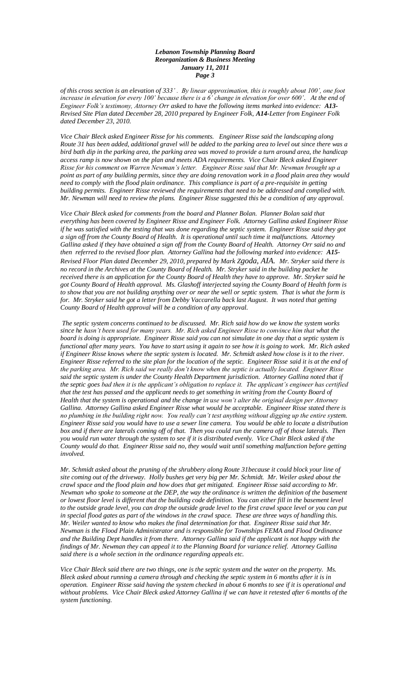#### *Lebanon Township Planning Board Reorganization & Business Meeting January 11, 2011 Page 3*

*of this cross section is an elevation of 333' . By linear approximation, this is roughly about 100', one foot increase in elevation for every 100' because there is a 6' change in elevation for over 600'. At the end of Engineer Folk's testimony, Attorney Orr asked to have the following items marked into evidence: A13- Revised Site Plan dated December 28, 2010 prepared by Engineer Folk, A14-Letter from Engineer Folk dated December 23, 2010.* 

*Vice Chair Bleck asked Engineer Risse for his comments. Engineer Risse said the landscaping along Route 31 has been added, additional gravel will be added to the parking area to level out since there was a bird bath dip in the parking area, the parking area was moved to provide a turn around area, the handicap access ramp is now shown on the plan and meets ADA requirements. Vice Chair Bleck asked Engineer Risse for his comment on Warren Newman's letter. Engineer Risse said that Mr. Newman brought up a point as part of any building permits, since they are doing renovation work in a flood plain area they would need to comply with the flood plain ordinance. This compliance is part of a pre-requisite in getting building permits. Engineer Risse reviewed the requirements that need to be addressed and complied with. Mr. Newman will need to review the plans. Engineer Risse suggested this be a condition of any approval.*

*Vice Chair Bleck asked for comments from the board and Planner Bolan. Planner Bolan said that everything has been covered by Engineer Risse and Engineer Folk. Attorney Gallina asked Engineer Risse if he was satisfied with the testing that was done regarding the septic system. Engineer Risse said they got a sign off from the County Board of Health. It is operational until such time it malfunctions. Attorney Gallina asked if they have obtained a sign off from the County Board of Health. Attorney Orr said no and then referred to the revised floor plan. Attorney Gallina had the following marked into evidence: A15- Revised Floor Plan dated December 29, 2010, prepared by Mark Zgoda*, *AIA. Mr. Stryker said there is no record in the Archives at the County Board of Health. Mr. Stryker said in the building packet he received there is an application for the County Board of Health they have to approve. Mr. Stryker said he got County Board of Health approval. Ms. Glashoff interjected saying the County Board of Health form is to show that you are not building anything over or near the well or septic system. That is what the form is for. Mr. Stryker said he got a letter from Debby Vaccarella back last August. It was noted that getting County Board of Health approval will be a condition of any approval.*

*The septic system concerns continued to be discussed. Mr. Rich said how do we know the system works since he hasn't been used for many years. Mr. Rich asked Engineer Risse to convince him that what the board is doing is appropriate. Engineer Risse said you can not simulate in one day that a septic system is functional after many years. You have to start using it again to see how it is going to work. Mr. Rich asked if Engineer Risse knows where the septic system is located. Mr. Schmidt asked how close is it to the river. Engineer Risse referred to the site plan for the location of the septic. Engineer Risse said it is at the end of the parking area. Mr. Rich said we really don't know when the septic is actually located. Engineer Risse said the septic system is under the County Health Department jurisdiction. Attorney Gallina noted that if the septic goes bad then it is the applicant's obligation to replace it. The applicant's engineer has certified*  that the test has passed and the applicant needs to get something in writing from the County Board of *Health that the system is operational and the change in use won't alter the original design per Attorney Gallina. Attorney Gallina asked Engineer Risse what would be acceptable. Engineer Risse stated there is no plumbing in the building right now. You really can't test anything without digging up the entire system. Engineer Risse said you would have to use a sewer line camera. You would be able to locate a distribution*  box and if there are laterals coming off of that. Then you could run the camera off of those laterals. Then *you would run water through the system to see if it is distributed evenly. Vice Chair Bleck asked if the County would do that. Engineer Risse said no, they would wait until something malfunction before getting involved.*

*Mr. Schmidt asked about the pruning of the shrubbery along Route 31because it could block your line of site coming out of the driveway. Holly bushes get very big per Mr. Schmidt. Mr. Weiler asked about the crawl space and the flood plain and how does that get mitigated. Engineer Risse said according to Mr. Newman who spoke to someone at the DEP, the way the ordinance is written the definition of the basement or lowest floor level is different that the building code definition. You can either fill in the basement level to the outside grade level, you can drop the outside grade level to the first crawl space level or you can put in special flood gates as part of the windows in the crawl space. These are three ways of handling this. Mr. Weiler wanted to know who makes the final determination for that. Engineer Risse said that Mr. Newman is the Flood Plain Administrator and is responsible for Townships FEMA and Flood Ordinance and the Building Dept handles it from there. Attorney Gallina said if the applicant is not happy with the findings of Mr. Newman they can appeal it to the Planning Board for variance relief. Attorney Gallina said there is a whole section in the ordinance regarding appeals etc.*

*Vice Chair Bleck said there are two things, one is the septic system and the water on the property. Ms. Bleck asked about running a camera through and checking the septic system in 6 months after it is in operation. Engineer Risse said having the system checked in about 6 months to see if it is operational and without problems. Vice Chair Bleck asked Attorney Gallina if we can have it retested after 6 months of the system functioning.*